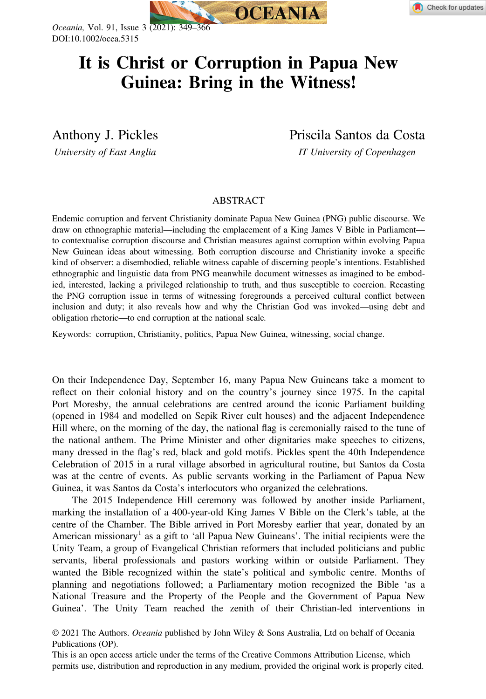



Oceania, Vol. 91, Issue 3 (2021): 349–366 DOI:10.1002/ocea.5315

# It is Christ or Corruption in Papua New<br>Guinea: Bring in the Witness! Guinea: Bring in the Witness!

Anthony J. Pickles Priscila Santos da Costa

University of East Anglia **IT University of Copenhagen** 

# ABSTRACT

Endemic corruption and fervent Christianity dominate Papua New Guinea (PNG) public discourse. We draw on ethnographic material—including the emplacement of a King James V Bible in Parliament to contextualise corruption discourse and Christian measures against corruption within evolving Papua New Guinean ideas about witnessing. Both corruption discourse and Christianity invoke a specific kind of observer: a disembodied, reliable witness capable of discerning people's intentions. Established ethnographic and linguistic data from PNG meanwhile document witnesses as imagined to be embodied, interested, lacking a privileged relationship to truth, and thus susceptible to coercion. Recasting the PNG corruption issue in terms of witnessing foregrounds a perceived cultural conflict between inclusion and duty; it also reveals how and why the Christian God was invoked—using debt and obligation rhetoric—to end corruption at the national scale.

Keywords: corruption, Christianity, politics, Papua New Guinea, witnessing, social change.

On their Independence Day, September 16, many Papua New Guineans take a moment to reflect on their colonial history and on the country's journey since 1975. In the capital Port Moresby, the annual celebrations are centred around the iconic Parliament building (opened in 1984 and modelled on Sepik River cult houses) and the adjacent Independence Hill where, on the morning of the day, the national flag is ceremonially raised to the tune of the national anthem. The Prime Minister and other dignitaries make speeches to citizens, many dressed in the flag's red, black and gold motifs. Pickles spent the 40th Independence Celebration of 2015 in a rural village absorbed in agricultural routine, but Santos da Costa was at the centre of events. As public servants working in the Parliament of Papua New Guinea, it was Santos da Costa's interlocutors who organized the celebrations.

The 2015 Independence Hill ceremony was followed by another inside Parliament, marking the installation of a 400-year-old King James V Bible on the Clerk's table, at the centre of the Chamber. The Bible arrived in Port Moresby earlier that year, donated by an American missionary<sup>1</sup> as a gift to 'all Papua New Guineans'. The initial recipients were the Unity Team, a group of Evangelical Christian reformers that included politicians and public servants, liberal professionals and pastors working within or outside Parliament. They wanted the Bible recognized within the state's political and symbolic centre. Months of planning and negotiations followed; a Parliamentary motion recognized the Bible 'as a National Treasure and the Property of the People and the Government of Papua New Guinea'. The Unity Team reached the zenith of their Christian-led interventions in

© 2021 The Authors. Oceania published by John Wiley & Sons Australia, Ltd on behalf of Oceania Publications (OP).

This is an open access article under the terms of the [Creative Commons Attribution](http://creativecommons.org/licenses/by/4.0/) License, which permits use, distribution and reproduction in any medium, provided the original work is properly cited.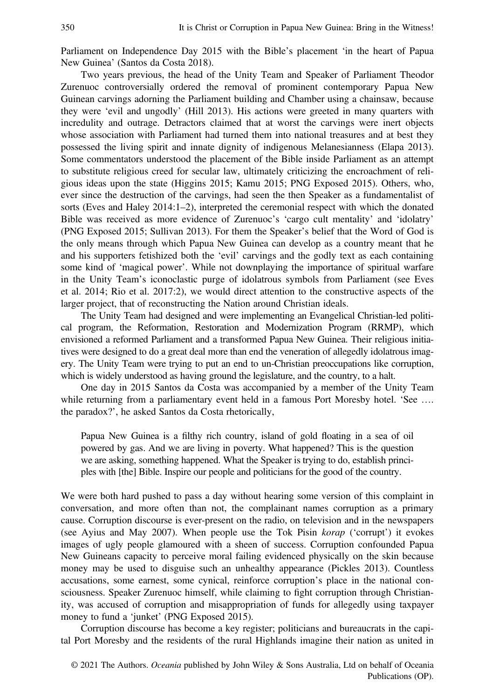Parliament on Independence Day 2015 with the Bible's placement 'in the heart of Papua New Guinea' (Santos da Costa 2018).

Two years previous, the head of the Unity Team and Speaker of Parliament Theodor Zurenuoc controversially ordered the removal of prominent contemporary Papua New Guinean carvings adorning the Parliament building and Chamber using a chainsaw, because they were 'evil and ungodly' (Hill 2013). His actions were greeted in many quarters with incredulity and outrage. Detractors claimed that at worst the carvings were inert objects whose association with Parliament had turned them into national treasures and at best they possessed the living spirit and innate dignity of indigenous Melanesianness (Elapa 2013). Some commentators understood the placement of the Bible inside Parliament as an attempt to substitute religious creed for secular law, ultimately criticizing the encroachment of religious ideas upon the state (Higgins 2015; Kamu 2015; PNG Exposed 2015). Others, who, ever since the destruction of the carvings, had seen the then Speaker as a fundamentalist of sorts (Eves and Haley 2014:1–2), interpreted the ceremonial respect with which the donated Bible was received as more evidence of Zurenuoc's 'cargo cult mentality' and 'idolatry' (PNG Exposed 2015; Sullivan 2013). For them the Speaker's belief that the Word of God is the only means through which Papua New Guinea can develop as a country meant that he and his supporters fetishized both the 'evil' carvings and the godly text as each containing some kind of 'magical power'. While not downplaying the importance of spiritual warfare in the Unity Team's iconoclastic purge of idolatrous symbols from Parliament (see Eves et al. 2014; Rio et al. 2017:2), we would direct attention to the constructive aspects of the larger project, that of reconstructing the Nation around Christian ideals.

The Unity Team had designed and were implementing an Evangelical Christian-led political program, the Reformation, Restoration and Modernization Program (RRMP), which envisioned a reformed Parliament and a transformed Papua New Guinea. Their religious initiatives were designed to do a great deal more than end the veneration of allegedly idolatrous imagery. The Unity Team were trying to put an end to un-Christian preoccupations like corruption, which is widely understood as having ground the legislature, and the country, to a halt.

One day in 2015 Santos da Costa was accompanied by a member of the Unity Team while returning from a parliamentary event held in a famous Port Moresby hotel. 'See ... the paradox?', he asked Santos da Costa rhetorically,

Papua New Guinea is a filthy rich country, island of gold floating in a sea of oil powered by gas. And we are living in poverty. What happened? This is the question we are asking, something happened. What the Speaker is trying to do, establish principles with [the] Bible. Inspire our people and politicians for the good of the country.

We were both hard pushed to pass a day without hearing some version of this complaint in conversation, and more often than not, the complainant names corruption as a primary cause. Corruption discourse is ever-present on the radio, on television and in the newspapers (see Ayius and May 2007). When people use the Tok Pisin korap ('corrupt') it evokes images of ugly people glamoured with a sheen of success. Corruption confounded Papua New Guineans capacity to perceive moral failing evidenced physically on the skin because money may be used to disguise such an unhealthy appearance (Pickles 2013). Countless accusations, some earnest, some cynical, reinforce corruption's place in the national consciousness. Speaker Zurenuoc himself, while claiming to fight corruption through Christianity, was accused of corruption and misappropriation of funds for allegedly using taxpayer money to fund a 'junket' (PNG Exposed 2015).

Corruption discourse has become a key register; politicians and bureaucrats in the capital Port Moresby and the residents of the rural Highlands imagine their nation as united in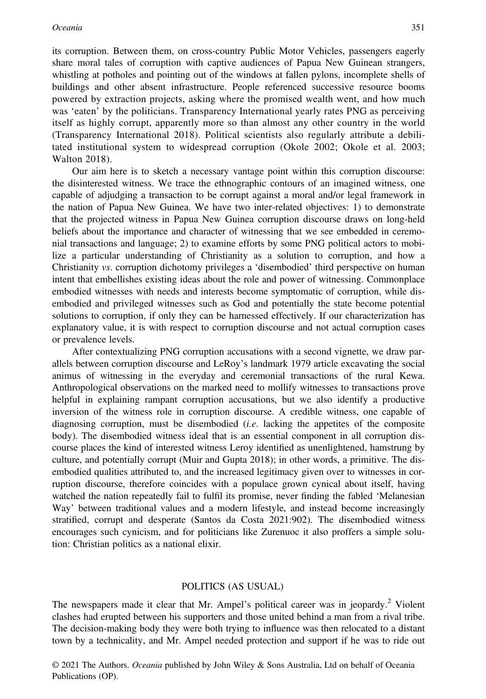its corruption. Between them, on cross-country Public Motor Vehicles, passengers eagerly share moral tales of corruption with captive audiences of Papua New Guinean strangers, whistling at potholes and pointing out of the windows at fallen pylons, incomplete shells of buildings and other absent infrastructure. People referenced successive resource booms powered by extraction projects, asking where the promised wealth went, and how much was 'eaten' by the politicians. Transparency International yearly rates PNG as perceiving itself as highly corrupt, apparently more so than almost any other country in the world (Transparency International 2018). Political scientists also regularly attribute a debilitated institutional system to widespread corruption (Okole 2002; Okole et al. 2003; Walton 2018).

Our aim here is to sketch a necessary vantage point within this corruption discourse: the disinterested witness. We trace the ethnographic contours of an imagined witness, one capable of adjudging a transaction to be corrupt against a moral and/or legal framework in the nation of Papua New Guinea. We have two inter-related objectives: 1) to demonstrate that the projected witness in Papua New Guinea corruption discourse draws on long-held beliefs about the importance and character of witnessing that we see embedded in ceremonial transactions and language; 2) to examine efforts by some PNG political actors to mobilize a particular understanding of Christianity as a solution to corruption, and how a Christianity vs. corruption dichotomy privileges a 'disembodied' third perspective on human intent that embellishes existing ideas about the role and power of witnessing. Commonplace embodied witnesses with needs and interests become symptomatic of corruption, while disembodied and privileged witnesses such as God and potentially the state become potential solutions to corruption, if only they can be harnessed effectively. If our characterization has explanatory value, it is with respect to corruption discourse and not actual corruption cases or prevalence levels.

After contextualizing PNG corruption accusations with a second vignette, we draw parallels between corruption discourse and LeRoy's landmark 1979 article excavating the social animus of witnessing in the everyday and ceremonial transactions of the rural Kewa. Anthropological observations on the marked need to mollify witnesses to transactions prove helpful in explaining rampant corruption accusations, but we also identify a productive inversion of the witness role in corruption discourse. A credible witness, one capable of diagnosing corruption, must be disembodied  $(i.e.$  lacking the appetites of the composite body). The disembodied witness ideal that is an essential component in all corruption discourse places the kind of interested witness Leroy identified as unenlightened, hamstrung by culture, and potentially corrupt (Muir and Gupta 2018); in other words, a primitive. The disembodied qualities attributed to, and the increased legitimacy given over to witnesses in corruption discourse, therefore coincides with a populace grown cynical about itself, having watched the nation repeatedly fail to fulfil its promise, never finding the fabled 'Melanesian Way' between traditional values and a modern lifestyle, and instead become increasingly stratified, corrupt and desperate (Santos da Costa 2021:902). The disembodied witness encourages such cynicism, and for politicians like Zurenuoc it also proffers a simple solution: Christian politics as a national elixir.

#### POLITICS (AS USUAL)

The newspapers made it clear that Mr. Ampel's political career was in jeopardy.<sup>2</sup> Violent clashes had erupted between his supporters and those united behind a man from a rival tribe. The decision-making body they were both trying to influence was then relocated to a distant town by a technicality, and Mr. Ampel needed protection and support if he was to ride out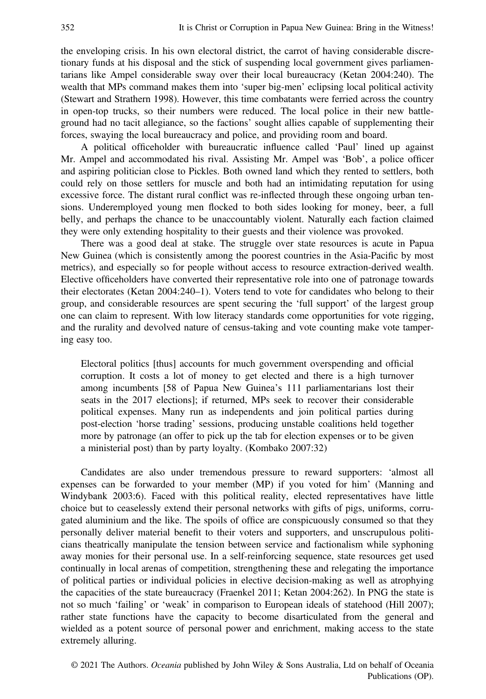the enveloping crisis. In his own electoral district, the carrot of having considerable discretionary funds at his disposal and the stick of suspending local government gives parliamentarians like Ampel considerable sway over their local bureaucracy (Ketan 2004:240). The wealth that MPs command makes them into 'super big-men' eclipsing local political activity (Stewart and Strathern 1998). However, this time combatants were ferried across the country in open-top trucks, so their numbers were reduced. The local police in their new battleground had no tacit allegiance, so the factions' sought allies capable of supplementing their forces, swaying the local bureaucracy and police, and providing room and board.

A political officeholder with bureaucratic influence called 'Paul' lined up against Mr. Ampel and accommodated his rival. Assisting Mr. Ampel was 'Bob', a police officer and aspiring politician close to Pickles. Both owned land which they rented to settlers, both could rely on those settlers for muscle and both had an intimidating reputation for using excessive force. The distant rural conflict was re-inflected through these ongoing urban tensions. Underemployed young men flocked to both sides looking for money, beer, a full belly, and perhaps the chance to be unaccountably violent. Naturally each faction claimed they were only extending hospitality to their guests and their violence was provoked.

There was a good deal at stake. The struggle over state resources is acute in Papua New Guinea (which is consistently among the poorest countries in the Asia-Pacific by most metrics), and especially so for people without access to resource extraction-derived wealth. Elective officeholders have converted their representative role into one of patronage towards their electorates (Ketan 2004:240–1). Voters tend to vote for candidates who belong to their group, and considerable resources are spent securing the 'full support' of the largest group one can claim to represent. With low literacy standards come opportunities for vote rigging, and the rurality and devolved nature of census-taking and vote counting make vote tampering easy too.

Electoral politics [thus] accounts for much government overspending and official corruption. It costs a lot of money to get elected and there is a high turnover among incumbents [58 of Papua New Guinea's 111 parliamentarians lost their seats in the 2017 elections]; if returned, MPs seek to recover their considerable political expenses. Many run as independents and join political parties during post-election 'horse trading' sessions, producing unstable coalitions held together more by patronage (an offer to pick up the tab for election expenses or to be given a ministerial post) than by party loyalty. (Kombako 2007:32)

Candidates are also under tremendous pressure to reward supporters: 'almost all expenses can be forwarded to your member (MP) if you voted for him' (Manning and Windybank 2003:6). Faced with this political reality, elected representatives have little choice but to ceaselessly extend their personal networks with gifts of pigs, uniforms, corrugated aluminium and the like. The spoils of office are conspicuously consumed so that they personally deliver material benefit to their voters and supporters, and unscrupulous politicians theatrically manipulate the tension between service and factionalism while syphoning away monies for their personal use. In a self-reinforcing sequence, state resources get used continually in local arenas of competition, strengthening these and relegating the importance of political parties or individual policies in elective decision-making as well as atrophying the capacities of the state bureaucracy (Fraenkel 2011; Ketan 2004:262). In PNG the state is not so much 'failing' or 'weak' in comparison to European ideals of statehood (Hill 2007); rather state functions have the capacity to become disarticulated from the general and wielded as a potent source of personal power and enrichment, making access to the state extremely alluring.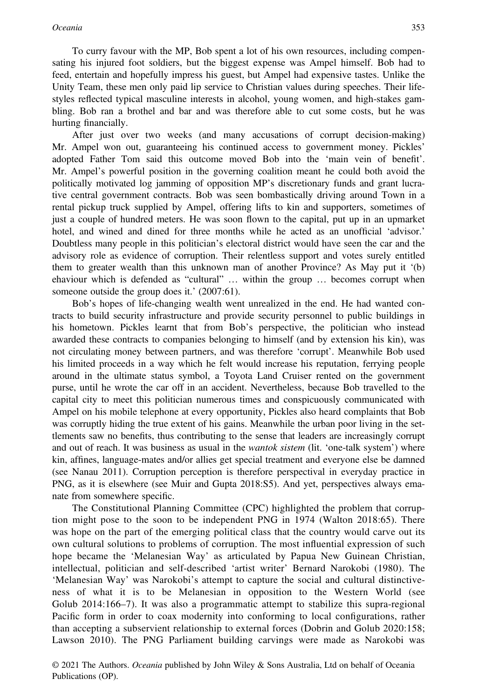To curry favour with the MP, Bob spent a lot of his own resources, including compensating his injured foot soldiers, but the biggest expense was Ampel himself. Bob had to feed, entertain and hopefully impress his guest, but Ampel had expensive tastes. Unlike the Unity Team, these men only paid lip service to Christian values during speeches. Their lifestyles reflected typical masculine interests in alcohol, young women, and high-stakes gambling. Bob ran a brothel and bar and was therefore able to cut some costs, but he was hurting financially.

After just over two weeks (and many accusations of corrupt decision-making) Mr. Ampel won out, guaranteeing his continued access to government money. Pickles' adopted Father Tom said this outcome moved Bob into the 'main vein of benefit'. Mr. Ampel's powerful position in the governing coalition meant he could both avoid the politically motivated log jamming of opposition MP's discretionary funds and grant lucrative central government contracts. Bob was seen bombastically driving around Town in a rental pickup truck supplied by Ampel, offering lifts to kin and supporters, sometimes of just a couple of hundred meters. He was soon flown to the capital, put up in an upmarket hotel, and wined and dined for three months while he acted as an unofficial 'advisor.' Doubtless many people in this politician's electoral district would have seen the car and the advisory role as evidence of corruption. Their relentless support and votes surely entitled them to greater wealth than this unknown man of another Province? As May put it '(b) ehaviour which is defended as "cultural" … within the group … becomes corrupt when someone outside the group does it.' (2007:61).

Bob's hopes of life-changing wealth went unrealized in the end. He had wanted contracts to build security infrastructure and provide security personnel to public buildings in his hometown. Pickles learnt that from Bob's perspective, the politician who instead awarded these contracts to companies belonging to himself (and by extension his kin), was not circulating money between partners, and was therefore 'corrupt'. Meanwhile Bob used his limited proceeds in a way which he felt would increase his reputation, ferrying people around in the ultimate status symbol, a Toyota Land Cruiser rented on the government purse, until he wrote the car off in an accident. Nevertheless, because Bob travelled to the capital city to meet this politician numerous times and conspicuously communicated with Ampel on his mobile telephone at every opportunity, Pickles also heard complaints that Bob was corruptly hiding the true extent of his gains. Meanwhile the urban poor living in the settlements saw no benefits, thus contributing to the sense that leaders are increasingly corrupt and out of reach. It was business as usual in the *wantok sistem* (lit. 'one-talk system') where kin, affines, language-mates and/or allies get special treatment and everyone else be damned (see Nanau 2011). Corruption perception is therefore perspectival in everyday practice in PNG, as it is elsewhere (see Muir and Gupta 2018:S5). And yet, perspectives always emanate from somewhere specific.

The Constitutional Planning Committee (CPC) highlighted the problem that corruption might pose to the soon to be independent PNG in 1974 (Walton 2018:65). There was hope on the part of the emerging political class that the country would carve out its own cultural solutions to problems of corruption. The most influential expression of such hope became the 'Melanesian Way' as articulated by Papua New Guinean Christian, intellectual, politician and self-described 'artist writer' Bernard Narokobi (1980). The 'Melanesian Way' was Narokobi's attempt to capture the social and cultural distinctiveness of what it is to be Melanesian in opposition to the Western World (see Golub 2014:166–7). It was also a programmatic attempt to stabilize this supra-regional Pacific form in order to coax modernity into conforming to local configurations, rather than accepting a subservient relationship to external forces (Dobrin and Golub 2020:158; Lawson 2010). The PNG Parliament building carvings were made as Narokobi was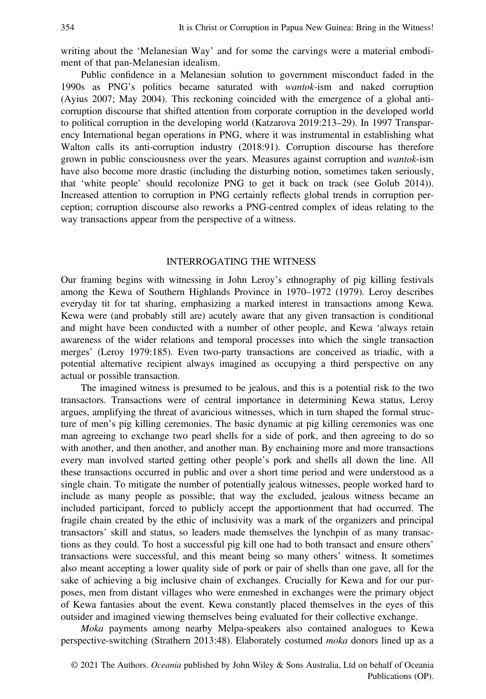writing about the 'Melanesian Way' and for some the carvings were a material embodiment of that pan-Melanesian idealism.

Public confidence in a Melanesian solution to government misconduct faded in the 1990s as PNG's politics became saturated with wantok-ism and naked corruption (Ayius 2007; May 2004). This reckoning coincided with the emergence of a global anticorruption discourse that shifted attention from corporate corruption in the developed world to political corruption in the developing world (Katzarova 2019:213–29). In 1997 Transparency International began operations in PNG, where it was instrumental in establishing what Walton calls its anti-corruption industry (2018:91). Corruption discourse has therefore grown in public consciousness over the years. Measures against corruption and wantok-ism have also become more drastic (including the disturbing notion, sometimes taken seriously, that 'white people' should recolonize PNG to get it back on track (see Golub 2014)). Increased attention to corruption in PNG certainly reflects global trends in corruption perception; corruption discourse also reworks a PNG-centred complex of ideas relating to the way transactions appear from the perspective of a witness.

# INTERROGATING THE WITNESS

Our framing begins with witnessing in John Leroy's ethnography of pig killing festivals among the Kewa of Southern Highlands Province in 1970–1972 (1979). Leroy describes everyday tit for tat sharing, emphasizing a marked interest in transactions among Kewa. Kewa were (and probably still are) acutely aware that any given transaction is conditional and might have been conducted with a number of other people, and Kewa 'always retain awareness of the wider relations and temporal processes into which the single transaction merges' (Leroy 1979:185). Even two-party transactions are conceived as triadic, with a potential alternative recipient always imagined as occupying a third perspective on any actual or possible transaction.

The imagined witness is presumed to be jealous, and this is a potential risk to the two transactors. Transactions were of central importance in determining Kewa status, Leroy argues, amplifying the threat of avaricious witnesses, which in turn shaped the formal structure of men's pig killing ceremonies. The basic dynamic at pig killing ceremonies was one man agreeing to exchange two pearl shells for a side of pork, and then agreeing to do so with another, and then another, and another man. By enchaining more and more transactions every man involved started getting other people's pork and shells all down the line. All these transactions occurred in public and over a short time period and were understood as a single chain. To mitigate the number of potentially jealous witnesses, people worked hard to include as many people as possible; that way the excluded, jealous witness became an included participant, forced to publicly accept the apportionment that had occurred. The fragile chain created by the ethic of inclusivity was a mark of the organizers and principal transactors' skill and status, so leaders made themselves the lynchpin of as many transactions as they could. To host a successful pig kill one had to both transact and ensure others' transactions were successful, and this meant being so many others' witness. It sometimes also meant accepting a lower quality side of pork or pair of shells than one gave, all for the sake of achieving a big inclusive chain of exchanges. Crucially for Kewa and for our purposes, men from distant villages who were enmeshed in exchanges were the primary object of Kewa fantasies about the event. Kewa constantly placed themselves in the eyes of this outsider and imagined viewing themselves being evaluated for their collective exchange.

Moka payments among nearby Melpa-speakers also contained analogues to Kewa perspective-switching (Strathern 2013:48). Elaborately costumed moka donors lined up as a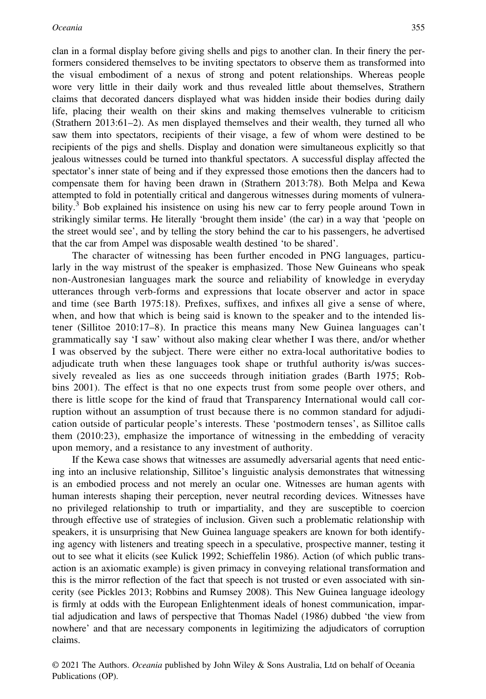clan in a formal display before giving shells and pigs to another clan. In their finery the performers considered themselves to be inviting spectators to observe them as transformed into the visual embodiment of a nexus of strong and potent relationships. Whereas people wore very little in their daily work and thus revealed little about themselves, Strathern claims that decorated dancers displayed what was hidden inside their bodies during daily life, placing their wealth on their skins and making themselves vulnerable to criticism (Strathern 2013:61–2). As men displayed themselves and their wealth, they turned all who saw them into spectators, recipients of their visage, a few of whom were destined to be recipients of the pigs and shells. Display and donation were simultaneous explicitly so that jealous witnesses could be turned into thankful spectators. A successful display affected the spectator's inner state of being and if they expressed those emotions then the dancers had to compensate them for having been drawn in (Strathern 2013:78). Both Melpa and Kewa attempted to fold in potentially critical and dangerous witnesses during moments of vulnerability. $3$  Bob explained his insistence on using his new car to ferry people around Town in strikingly similar terms. He literally 'brought them inside' (the car) in a way that 'people on the street would see', and by telling the story behind the car to his passengers, he advertised that the car from Ampel was disposable wealth destined 'to be shared'.

The character of witnessing has been further encoded in PNG languages, particularly in the way mistrust of the speaker is emphasized. Those New Guineans who speak non-Austronesian languages mark the source and reliability of knowledge in everyday utterances through verb-forms and expressions that locate observer and actor in space and time (see Barth 1975:18). Prefixes, suffixes, and infixes all give a sense of where, when, and how that which is being said is known to the speaker and to the intended listener (Sillitoe 2010:17–8). In practice this means many New Guinea languages can't grammatically say 'I saw' without also making clear whether I was there, and/or whether I was observed by the subject. There were either no extra-local authoritative bodies to adjudicate truth when these languages took shape or truthful authority is/was successively revealed as lies as one succeeds through initiation grades (Barth 1975; Robbins 2001). The effect is that no one expects trust from some people over others, and there is little scope for the kind of fraud that Transparency International would call corruption without an assumption of trust because there is no common standard for adjudication outside of particular people's interests. These 'postmodern tenses', as Sillitoe calls them (2010:23), emphasize the importance of witnessing in the embedding of veracity upon memory, and a resistance to any investment of authority.

If the Kewa case shows that witnesses are assumedly adversarial agents that need enticing into an inclusive relationship, Sillitoe's linguistic analysis demonstrates that witnessing is an embodied process and not merely an ocular one. Witnesses are human agents with human interests shaping their perception, never neutral recording devices. Witnesses have no privileged relationship to truth or impartiality, and they are susceptible to coercion through effective use of strategies of inclusion. Given such a problematic relationship with speakers, it is unsurprising that New Guinea language speakers are known for both identifying agency with listeners and treating speech in a speculative, prospective manner, testing it out to see what it elicits (see Kulick 1992; Schieffelin 1986). Action (of which public transaction is an axiomatic example) is given primacy in conveying relational transformation and this is the mirror reflection of the fact that speech is not trusted or even associated with sincerity (see Pickles 2013; Robbins and Rumsey 2008). This New Guinea language ideology is firmly at odds with the European Enlightenment ideals of honest communication, impartial adjudication and laws of perspective that Thomas Nadel (1986) dubbed 'the view from nowhere' and that are necessary components in legitimizing the adjudicators of corruption claims.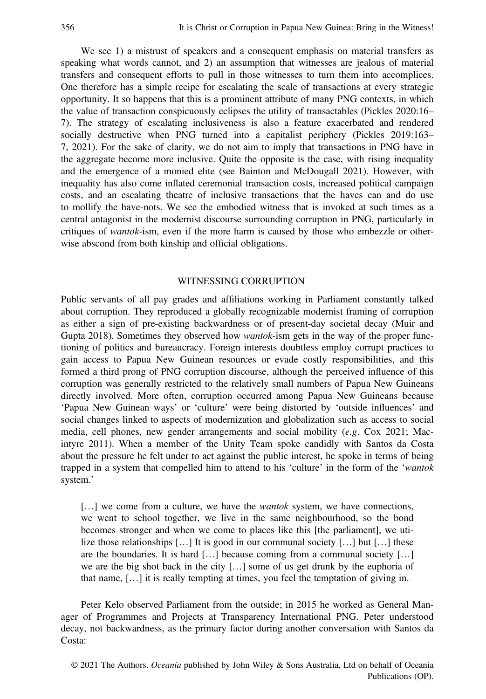We see 1) a mistrust of speakers and a consequent emphasis on material transfers as speaking what words cannot, and 2) an assumption that witnesses are jealous of material transfers and consequent efforts to pull in those witnesses to turn them into accomplices. One therefore has a simple recipe for escalating the scale of transactions at every strategic opportunity. It so happens that this is a prominent attribute of many PNG contexts, in which the value of transaction conspicuously eclipses the utility of transactables (Pickles 2020:16– 7). The strategy of escalating inclusiveness is also a feature exacerbated and rendered socially destructive when PNG turned into a capitalist periphery (Pickles 2019:163– 7, 2021). For the sake of clarity, we do not aim to imply that transactions in PNG have in the aggregate become more inclusive. Quite the opposite is the case, with rising inequality and the emergence of a monied elite (see Bainton and McDougall 2021). However, with inequality has also come inflated ceremonial transaction costs, increased political campaign costs, and an escalating theatre of inclusive transactions that the haves can and do use to mollify the have-nots. We see the embodied witness that is invoked at such times as a central antagonist in the modernist discourse surrounding corruption in PNG, particularly in critiques of wantok-ism, even if the more harm is caused by those who embezzle or otherwise abscond from both kinship and official obligations.

## WITNESSING CORRUPTION

Public servants of all pay grades and affiliations working in Parliament constantly talked about corruption. They reproduced a globally recognizable modernist framing of corruption as either a sign of pre-existing backwardness or of present-day societal decay (Muir and Gupta 2018). Sometimes they observed how *wantok*-ism gets in the way of the proper functioning of politics and bureaucracy. Foreign interests doubtless employ corrupt practices to gain access to Papua New Guinean resources or evade costly responsibilities, and this formed a third prong of PNG corruption discourse, although the perceived influence of this corruption was generally restricted to the relatively small numbers of Papua New Guineans directly involved. More often, corruption occurred among Papua New Guineans because 'Papua New Guinean ways' or 'culture' were being distorted by 'outside influences' and social changes linked to aspects of modernization and globalization such as access to social media, cell phones, new gender arrangements and social mobility (e.g. Cox 2021; Macintyre 2011). When a member of the Unity Team spoke candidly with Santos da Costa about the pressure he felt under to act against the public interest, he spoke in terms of being trapped in a system that compelled him to attend to his 'culture' in the form of the 'wantok system.'

[...] we come from a culture, we have the *wantok* system, we have connections, we went to school together, we live in the same neighbourhood, so the bond becomes stronger and when we come to places like this [the parliament], we utilize those relationships […] It is good in our communal society […] but […] these are the boundaries. It is hard […] because coming from a communal society […] we are the big shot back in the city […] some of us get drunk by the euphoria of that name, […] it is really tempting at times, you feel the temptation of giving in.

Peter Kelo observed Parliament from the outside; in 2015 he worked as General Manager of Programmes and Projects at Transparency International PNG. Peter understood decay, not backwardness, as the primary factor during another conversation with Santos da Costa: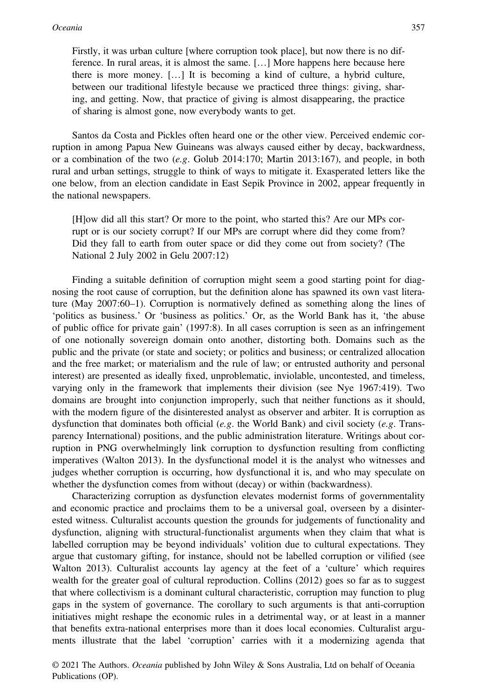Firstly, it was urban culture [where corruption took place], but now there is no difference. In rural areas, it is almost the same. […] More happens here because here there is more money. […] It is becoming a kind of culture, a hybrid culture, between our traditional lifestyle because we practiced three things: giving, sharing, and getting. Now, that practice of giving is almost disappearing, the practice of sharing is almost gone, now everybody wants to get.

Santos da Costa and Pickles often heard one or the other view. Perceived endemic corruption in among Papua New Guineans was always caused either by decay, backwardness, or a combination of the two  $(e.g.$  Golub 2014:170; Martin 2013:167), and people, in both rural and urban settings, struggle to think of ways to mitigate it. Exasperated letters like the one below, from an election candidate in East Sepik Province in 2002, appear frequently in the national newspapers.

[H]ow did all this start? Or more to the point, who started this? Are our MPs corrupt or is our society corrupt? If our MPs are corrupt where did they come from? Did they fall to earth from outer space or did they come out from society? (The National 2 July 2002 in Gelu 2007:12)

Finding a suitable definition of corruption might seem a good starting point for diagnosing the root cause of corruption, but the definition alone has spawned its own vast literature (May 2007:60–1). Corruption is normatively defined as something along the lines of 'politics as business.' Or 'business as politics.' Or, as the World Bank has it, 'the abuse of public office for private gain' (1997:8). In all cases corruption is seen as an infringement of one notionally sovereign domain onto another, distorting both. Domains such as the public and the private (or state and society; or politics and business; or centralized allocation and the free market; or materialism and the rule of law; or entrusted authority and personal interest) are presented as ideally fixed, unproblematic, inviolable, uncontested, and timeless, varying only in the framework that implements their division (see Nye 1967:419). Two domains are brought into conjunction improperly, such that neither functions as it should, with the modern figure of the disinterested analyst as observer and arbiter. It is corruption as dysfunction that dominates both official (e.g. the World Bank) and civil society (e.g. Transparency International) positions, and the public administration literature. Writings about corruption in PNG overwhelmingly link corruption to dysfunction resulting from conflicting imperatives (Walton 2013). In the dysfunctional model it is the analyst who witnesses and judges whether corruption is occurring, how dysfunctional it is, and who may speculate on whether the dysfunction comes from without (decay) or within (backwardness).

Characterizing corruption as dysfunction elevates modernist forms of governmentality and economic practice and proclaims them to be a universal goal, overseen by a disinterested witness. Culturalist accounts question the grounds for judgements of functionality and dysfunction, aligning with structural-functionalist arguments when they claim that what is labelled corruption may be beyond individuals' volition due to cultural expectations. They argue that customary gifting, for instance, should not be labelled corruption or vilified (see Walton 2013). Culturalist accounts lay agency at the feet of a 'culture' which requires wealth for the greater goal of cultural reproduction. Collins (2012) goes so far as to suggest that where collectivism is a dominant cultural characteristic, corruption may function to plug gaps in the system of governance. The corollary to such arguments is that anti-corruption initiatives might reshape the economic rules in a detrimental way, or at least in a manner that benefits extra-national enterprises more than it does local economies. Culturalist arguments illustrate that the label 'corruption' carries with it a modernizing agenda that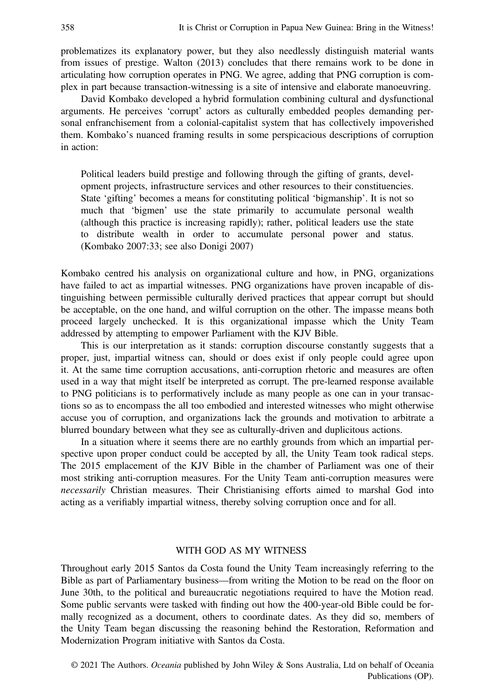problematizes its explanatory power, but they also needlessly distinguish material wants from issues of prestige. Walton (2013) concludes that there remains work to be done in articulating how corruption operates in PNG. We agree, adding that PNG corruption is complex in part because transaction-witnessing is a site of intensive and elaborate manoeuvring.

David Kombako developed a hybrid formulation combining cultural and dysfunctional arguments. He perceives 'corrupt' actors as culturally embedded peoples demanding personal enfranchisement from a colonial-capitalist system that has collectively impoverished them. Kombako's nuanced framing results in some perspicacious descriptions of corruption in action:

Political leaders build prestige and following through the gifting of grants, development projects, infrastructure services and other resources to their constituencies. State 'gifting' becomes a means for constituting political 'bigmanship'. It is not so much that 'bigmen' use the state primarily to accumulate personal wealth (although this practice is increasing rapidly); rather, political leaders use the state to distribute wealth in order to accumulate personal power and status. (Kombako 2007:33; see also Donigi 2007)

Kombako centred his analysis on organizational culture and how, in PNG, organizations have failed to act as impartial witnesses. PNG organizations have proven incapable of distinguishing between permissible culturally derived practices that appear corrupt but should be acceptable, on the one hand, and wilful corruption on the other. The impasse means both proceed largely unchecked. It is this organizational impasse which the Unity Team addressed by attempting to empower Parliament with the KJV Bible.

This is our interpretation as it stands: corruption discourse constantly suggests that a proper, just, impartial witness can, should or does exist if only people could agree upon it. At the same time corruption accusations, anti-corruption rhetoric and measures are often used in a way that might itself be interpreted as corrupt. The pre-learned response available to PNG politicians is to performatively include as many people as one can in your transactions so as to encompass the all too embodied and interested witnesses who might otherwise accuse you of corruption, and organizations lack the grounds and motivation to arbitrate a blurred boundary between what they see as culturally-driven and duplicitous actions.

In a situation where it seems there are no earthly grounds from which an impartial perspective upon proper conduct could be accepted by all, the Unity Team took radical steps. The 2015 emplacement of the KJV Bible in the chamber of Parliament was one of their most striking anti-corruption measures. For the Unity Team anti-corruption measures were necessarily Christian measures. Their Christianising efforts aimed to marshal God into acting as a verifiably impartial witness, thereby solving corruption once and for all.

### WITH GOD AS MY WITNESS

Throughout early 2015 Santos da Costa found the Unity Team increasingly referring to the Bible as part of Parliamentary business—from writing the Motion to be read on the floor on June 30th, to the political and bureaucratic negotiations required to have the Motion read. Some public servants were tasked with finding out how the 400-year-old Bible could be formally recognized as a document, others to coordinate dates. As they did so, members of the Unity Team began discussing the reasoning behind the Restoration, Reformation and Modernization Program initiative with Santos da Costa.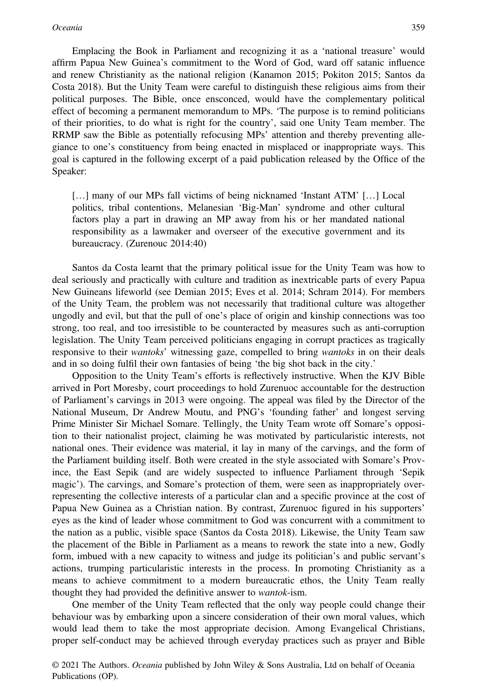Emplacing the Book in Parliament and recognizing it as a 'national treasure' would affirm Papua New Guinea's commitment to the Word of God, ward off satanic influence and renew Christianity as the national religion (Kanamon 2015; Pokiton 2015; Santos da Costa 2018). But the Unity Team were careful to distinguish these religious aims from their political purposes. The Bible, once ensconced, would have the complementary political effect of becoming a permanent memorandum to MPs. 'The purpose is to remind politicians of their priorities, to do what is right for the country', said one Unity Team member. The RRMP saw the Bible as potentially refocusing MPs' attention and thereby preventing allegiance to one's constituency from being enacted in misplaced or inappropriate ways. This goal is captured in the following excerpt of a paid publication released by the Office of the Speaker:

[...] many of our MPs fall victims of being nicknamed 'Instant ATM' [...] Local politics, tribal contentions, Melanesian 'Big-Man' syndrome and other cultural factors play a part in drawing an MP away from his or her mandated national responsibility as a lawmaker and overseer of the executive government and its bureaucracy. (Zurenouc 2014:40)

Santos da Costa learnt that the primary political issue for the Unity Team was how to deal seriously and practically with culture and tradition as inextricable parts of every Papua New Guineans lifeworld (see Demian 2015; Eves et al. 2014; Schram 2014). For members of the Unity Team, the problem was not necessarily that traditional culture was altogether ungodly and evil, but that the pull of one's place of origin and kinship connections was too strong, too real, and too irresistible to be counteracted by measures such as anti-corruption legislation. The Unity Team perceived politicians engaging in corrupt practices as tragically responsive to their wantoks' witnessing gaze, compelled to bring wantoks in on their deals and in so doing fulfil their own fantasies of being 'the big shot back in the city.'

Opposition to the Unity Team's efforts is reflectively instructive. When the KJV Bible arrived in Port Moresby, court proceedings to hold Zurenuoc accountable for the destruction of Parliament's carvings in 2013 were ongoing. The appeal was filed by the Director of the National Museum, Dr Andrew Moutu, and PNG's 'founding father' and longest serving Prime Minister Sir Michael Somare. Tellingly, the Unity Team wrote off Somare's opposition to their nationalist project, claiming he was motivated by particularistic interests, not national ones. Their evidence was material, it lay in many of the carvings, and the form of the Parliament building itself. Both were created in the style associated with Somare's Province, the East Sepik (and are widely suspected to influence Parliament through 'Sepik magic'). The carvings, and Somare's protection of them, were seen as inappropriately overrepresenting the collective interests of a particular clan and a specific province at the cost of Papua New Guinea as a Christian nation. By contrast, Zurenuoc figured in his supporters' eyes as the kind of leader whose commitment to God was concurrent with a commitment to the nation as a public, visible space (Santos da Costa 2018). Likewise, the Unity Team saw the placement of the Bible in Parliament as a means to rework the state into a new, Godly form, imbued with a new capacity to witness and judge its politician's and public servant's actions, trumping particularistic interests in the process. In promoting Christianity as a means to achieve commitment to a modern bureaucratic ethos, the Unity Team really thought they had provided the definitive answer to wantok-ism.

One member of the Unity Team reflected that the only way people could change their behaviour was by embarking upon a sincere consideration of their own moral values, which would lead them to take the most appropriate decision. Among Evangelical Christians, proper self-conduct may be achieved through everyday practices such as prayer and Bible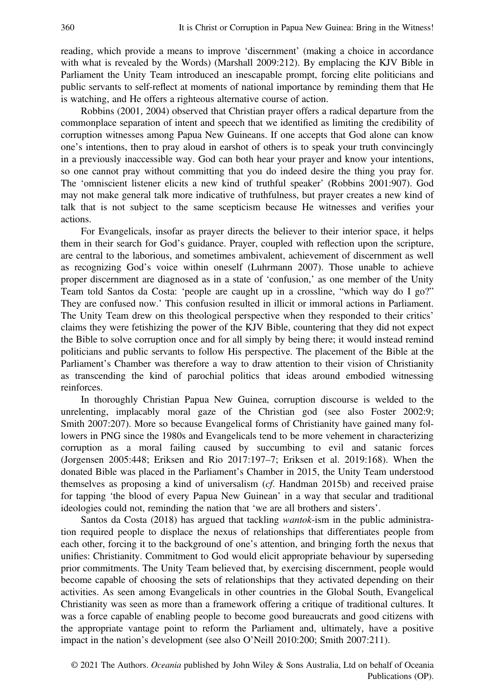reading, which provide a means to improve 'discernment' (making a choice in accordance with what is revealed by the Words) (Marshall 2009:212). By emplacing the KJV Bible in Parliament the Unity Team introduced an inescapable prompt, forcing elite politicians and public servants to self-reflect at moments of national importance by reminding them that He is watching, and He offers a righteous alternative course of action.

Robbins (2001, 2004) observed that Christian prayer offers a radical departure from the commonplace separation of intent and speech that we identified as limiting the credibility of corruption witnesses among Papua New Guineans. If one accepts that God alone can know one's intentions, then to pray aloud in earshot of others is to speak your truth convincingly in a previously inaccessible way. God can both hear your prayer and know your intentions, so one cannot pray without committing that you do indeed desire the thing you pray for. The 'omniscient listener elicits a new kind of truthful speaker' (Robbins 2001:907). God may not make general talk more indicative of truthfulness, but prayer creates a new kind of talk that is not subject to the same scepticism because He witnesses and verifies your actions.

For Evangelicals, insofar as prayer directs the believer to their interior space, it helps them in their search for God's guidance. Prayer, coupled with reflection upon the scripture, are central to the laborious, and sometimes ambivalent, achievement of discernment as well as recognizing God's voice within oneself (Luhrmann 2007). Those unable to achieve proper discernment are diagnosed as in a state of 'confusion,' as one member of the Unity Team told Santos da Costa: 'people are caught up in a crossline, "which way do I go?" They are confused now.' This confusion resulted in illicit or immoral actions in Parliament. The Unity Team drew on this theological perspective when they responded to their critics' claims they were fetishizing the power of the KJV Bible, countering that they did not expect the Bible to solve corruption once and for all simply by being there; it would instead remind politicians and public servants to follow His perspective. The placement of the Bible at the Parliament's Chamber was therefore a way to draw attention to their vision of Christianity as transcending the kind of parochial politics that ideas around embodied witnessing reinforces.

In thoroughly Christian Papua New Guinea, corruption discourse is welded to the unrelenting, implacably moral gaze of the Christian god (see also Foster 2002:9; Smith 2007:207). More so because Evangelical forms of Christianity have gained many followers in PNG since the 1980s and Evangelicals tend to be more vehement in characterizing corruption as a moral failing caused by succumbing to evil and satanic forces (Jorgensen 2005:448; Eriksen and Rio 2017:197–7; Eriksen et al. 2019:168). When the donated Bible was placed in the Parliament's Chamber in 2015, the Unity Team understood themselves as proposing a kind of universalism (cf. Handman 2015b) and received praise for tapping 'the blood of every Papua New Guinean' in a way that secular and traditional ideologies could not, reminding the nation that 'we are all brothers and sisters'.

Santos da Costa (2018) has argued that tackling wantok-ism in the public administration required people to displace the nexus of relationships that differentiates people from each other, forcing it to the background of one's attention, and bringing forth the nexus that unifies: Christianity. Commitment to God would elicit appropriate behaviour by superseding prior commitments. The Unity Team believed that, by exercising discernment, people would become capable of choosing the sets of relationships that they activated depending on their activities. As seen among Evangelicals in other countries in the Global South, Evangelical Christianity was seen as more than a framework offering a critique of traditional cultures. It was a force capable of enabling people to become good bureaucrats and good citizens with the appropriate vantage point to reform the Parliament and, ultimately, have a positive impact in the nation's development (see also O'Neill 2010:200; Smith 2007:211).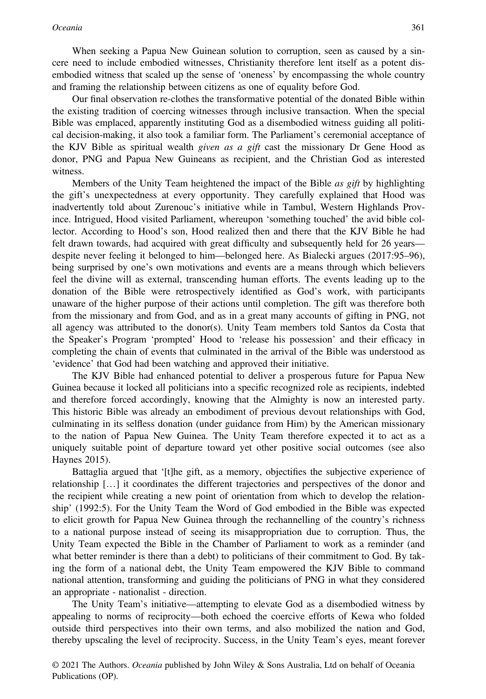When seeking a Papua New Guinean solution to corruption, seen as caused by a sincere need to include embodied witnesses, Christianity therefore lent itself as a potent disembodied witness that scaled up the sense of 'oneness' by encompassing the whole country and framing the relationship between citizens as one of equality before God.

Our final observation re-clothes the transformative potential of the donated Bible within the existing tradition of coercing witnesses through inclusive transaction. When the special Bible was emplaced, apparently instituting God as a disembodied witness guiding all political decision-making, it also took a familiar form. The Parliament's ceremonial acceptance of the KJV Bible as spiritual wealth *given as a gift* cast the missionary Dr Gene Hood as donor, PNG and Papua New Guineans as recipient, and the Christian God as interested witness.

Members of the Unity Team heightened the impact of the Bible *as gift* by highlighting the gift's unexpectedness at every opportunity. They carefully explained that Hood was inadvertently told about Zurenouc's initiative while in Tambul, Western Highlands Province. Intrigued, Hood visited Parliament, whereupon 'something touched' the avid bible collector. According to Hood's son, Hood realized then and there that the KJV Bible he had felt drawn towards, had acquired with great difficulty and subsequently held for 26 years despite never feeling it belonged to him—belonged here. As Bialecki argues (2017:95–96), being surprised by one's own motivations and events are a means through which believers feel the divine will as external, transcending human efforts. The events leading up to the donation of the Bible were retrospectively identified as God's work, with participants unaware of the higher purpose of their actions until completion. The gift was therefore both from the missionary and from God, and as in a great many accounts of gifting in PNG, not all agency was attributed to the donor(s). Unity Team members told Santos da Costa that the Speaker's Program 'prompted' Hood to 'release his possession' and their efficacy in completing the chain of events that culminated in the arrival of the Bible was understood as 'evidence' that God had been watching and approved their initiative.

The KJV Bible had enhanced potential to deliver a prosperous future for Papua New Guinea because it locked all politicians into a specific recognized role as recipients, indebted and therefore forced accordingly, knowing that the Almighty is now an interested party. This historic Bible was already an embodiment of previous devout relationships with God, culminating in its selfless donation (under guidance from Him) by the American missionary to the nation of Papua New Guinea. The Unity Team therefore expected it to act as a uniquely suitable point of departure toward yet other positive social outcomes (see also Haynes 2015).

Battaglia argued that '[t]he gift, as a memory, objectifies the subjective experience of relationship […] it coordinates the different trajectories and perspectives of the donor and the recipient while creating a new point of orientation from which to develop the relationship' (1992:5). For the Unity Team the Word of God embodied in the Bible was expected to elicit growth for Papua New Guinea through the rechannelling of the country's richness to a national purpose instead of seeing its misappropriation due to corruption. Thus, the Unity Team expected the Bible in the Chamber of Parliament to work as a reminder (and what better reminder is there than a debt) to politicians of their commitment to God. By taking the form of a national debt, the Unity Team empowered the KJV Bible to command national attention, transforming and guiding the politicians of PNG in what they considered an appropriate - nationalist - direction.

The Unity Team's initiative—attempting to elevate God as a disembodied witness by appealing to norms of reciprocity—both echoed the coercive efforts of Kewa who folded outside third perspectives into their own terms, and also mobilized the nation and God, thereby upscaling the level of reciprocity. Success, in the Unity Team's eyes, meant forever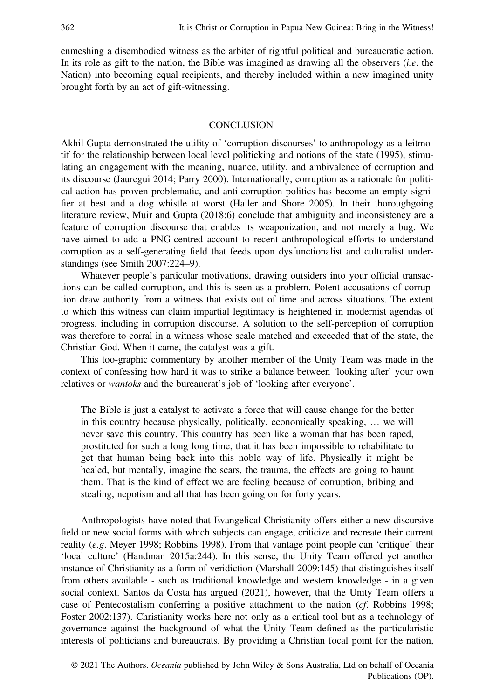enmeshing a disembodied witness as the arbiter of rightful political and bureaucratic action. In its role as gift to the nation, the Bible was imagined as drawing all the observers *(i.e.* the Nation) into becoming equal recipients, and thereby included within a new imagined unity brought forth by an act of gift-witnessing.

#### **CONCLUSION**

Akhil Gupta demonstrated the utility of 'corruption discourses' to anthropology as a leitmotif for the relationship between local level politicking and notions of the state (1995), stimulating an engagement with the meaning, nuance, utility, and ambivalence of corruption and its discourse (Jauregui 2014; Parry 2000). Internationally, corruption as a rationale for political action has proven problematic, and anti-corruption politics has become an empty signifier at best and a dog whistle at worst (Haller and Shore 2005). In their thoroughgoing literature review, Muir and Gupta (2018:6) conclude that ambiguity and inconsistency are a feature of corruption discourse that enables its weaponization, and not merely a bug. We have aimed to add a PNG-centred account to recent anthropological efforts to understand corruption as a self-generating field that feeds upon dysfunctionalist and culturalist understandings (see Smith 2007:224–9).

Whatever people's particular motivations, drawing outsiders into your official transactions can be called corruption, and this is seen as a problem. Potent accusations of corruption draw authority from a witness that exists out of time and across situations. The extent to which this witness can claim impartial legitimacy is heightened in modernist agendas of progress, including in corruption discourse. A solution to the self-perception of corruption was therefore to corral in a witness whose scale matched and exceeded that of the state, the Christian God. When it came, the catalyst was a gift.

This too-graphic commentary by another member of the Unity Team was made in the context of confessing how hard it was to strike a balance between 'looking after' your own relatives or wantoks and the bureaucrat's job of 'looking after everyone'.

The Bible is just a catalyst to activate a force that will cause change for the better in this country because physically, politically, economically speaking, … we will never save this country. This country has been like a woman that has been raped, prostituted for such a long long time, that it has been impossible to rehabilitate to get that human being back into this noble way of life. Physically it might be healed, but mentally, imagine the scars, the trauma, the effects are going to haunt them. That is the kind of effect we are feeling because of corruption, bribing and stealing, nepotism and all that has been going on for forty years.

Anthropologists have noted that Evangelical Christianity offers either a new discursive field or new social forms with which subjects can engage, criticize and recreate their current reality (e.g. Meyer 1998; Robbins 1998). From that vantage point people can 'critique' their 'local culture' (Handman 2015a:244). In this sense, the Unity Team offered yet another instance of Christianity as a form of veridiction (Marshall 2009:145) that distinguishes itself from others available - such as traditional knowledge and western knowledge - in a given social context. Santos da Costa has argued (2021), however, that the Unity Team offers a case of Pentecostalism conferring a positive attachment to the nation (cf. Robbins 1998; Foster 2002:137). Christianity works here not only as a critical tool but as a technology of governance against the background of what the Unity Team defined as the particularistic interests of politicians and bureaucrats. By providing a Christian focal point for the nation,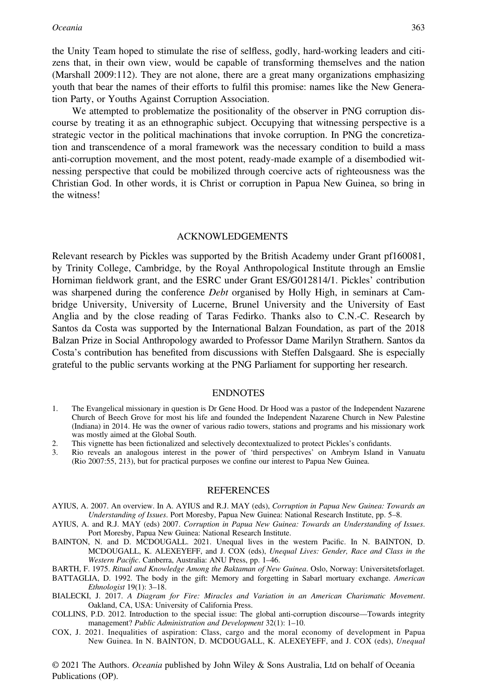the Unity Team hoped to stimulate the rise of selfless, godly, hard-working leaders and citizens that, in their own view, would be capable of transforming themselves and the nation (Marshall 2009:112). They are not alone, there are a great many organizations emphasizing youth that bear the names of their efforts to fulfil this promise: names like the New Generation Party, or Youths Against Corruption Association.

We attempted to problematize the positionality of the observer in PNG corruption discourse by treating it as an ethnographic subject. Occupying that witnessing perspective is a strategic vector in the political machinations that invoke corruption. In PNG the concretization and transcendence of a moral framework was the necessary condition to build a mass anti-corruption movement, and the most potent, ready-made example of a disembodied witnessing perspective that could be mobilized through coercive acts of righteousness was the Christian God. In other words, it is Christ or corruption in Papua New Guinea, so bring in the witness!

#### ACKNOWLEDGEMENTS

Relevant research by Pickles was supported by the British Academy under Grant pf160081, by Trinity College, Cambridge, by the Royal Anthropological Institute through an Emslie Horniman fieldwork grant, and the ESRC under Grant ES/G012814/1. Pickles' contribution was sharpened during the conference *Debt* organised by Holly High, in seminars at Cambridge University, University of Lucerne, Brunel University and the University of East Anglia and by the close reading of Taras Fedirko. Thanks also to C.N.-C. Research by Santos da Costa was supported by the International Balzan Foundation, as part of the 2018 Balzan Prize in Social Anthropology awarded to Professor Dame Marilyn Strathern. Santos da Costa's contribution has benefited from discussions with Steffen Dalsgaard. She is especially grateful to the public servants working at the PNG Parliament for supporting her research.

#### ENDNOTES

- 1. The Evangelical missionary in question is Dr Gene Hood. Dr Hood was a pastor of the Independent Nazarene Church of Beech Grove for most his life and founded the Independent Nazarene Church in New Palestine (Indiana) in 2014. He was the owner of various radio towers, stations and programs and his missionary work was mostly aimed at the Global South.
- 2. This vignette has been fictionalized and selectively decontextualized to protect Pickles's confidants.<br>
Rio reveals an analogous interest in the nower of 'third perspectives' on Ambrym Island in
- 3. Rio reveals an analogous interest in the power of 'third perspectives' on Ambrym Island in Vanuatu (Rio 2007:55, 213), but for practical purposes we confine our interest to Papua New Guinea.

#### REFERENCES

- AYIUS, A. 2007. An overview. In A. AYIUS and R.J. MAY (eds), Corruption in Papua New Guinea: Towards an Understanding of Issues. Port Moresby, Papua New Guinea: National Research Institute, pp. 5–8.
- AYIUS, A. and R.J. MAY (eds) 2007. Corruption in Papua New Guinea: Towards an Understanding of Issues. Port Moresby, Papua New Guinea: National Research Institute.
- BAINTON, N. and D. MCDOUGALL. 2021. Unequal lives in the western Pacific. In N. BAINTON, D. MCDOUGALL, K. ALEXEYEFF, and J. COX (eds), Unequal Lives: Gender, Race and Class in the Western Pacific. Canberra, Australia: ANU Press, pp. 1–46.
- BARTH, F. 1975. Ritual and Knowledge Among the Baktaman of New Guinea. Oslo, Norway: Universitetsforlaget.
- BATTAGLIA, D. 1992. The body in the gift: Memory and forgetting in Sabarl mortuary exchange. American Ethnologist 19(1): 3–18.
- BIALECKI, J. 2017. A Diagram for Fire: Miracles and Variation in an American Charismatic Movement. Oakland, CA, USA: University of California Press.
- COLLINS, P.D. 2012. Introduction to the special issue: The global anti-corruption discourse—Towards integrity management? Public Administration and Development 32(1): 1–10.
- COX, J. 2021. Inequalities of aspiration: Class, cargo and the moral economy of development in Papua New Guinea. In N. BAINTON, D. MCDOUGALL, K. ALEXEYEFF, and J. COX (eds), Unequal

© 2021 The Authors. Oceania published by John Wiley & Sons Australia, Ltd on behalf of Oceania Publications (OP).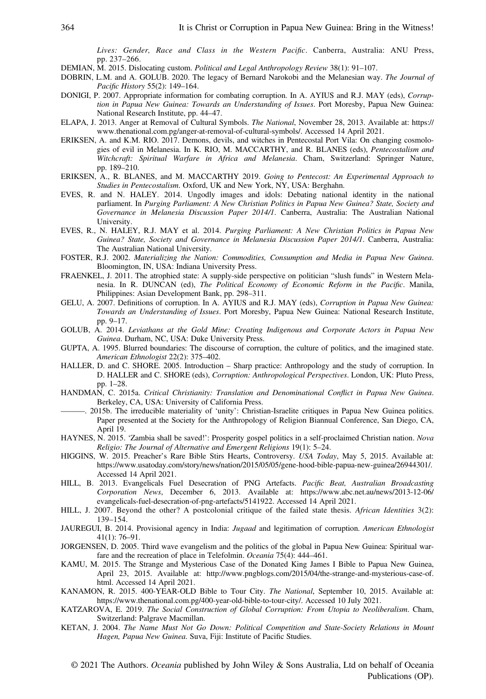Lives: Gender, Race and Class in the Western Pacific. Canberra, Australia: ANU Press, pp. 237–266.

- DEMIAN, M. 2015. Dislocating custom. Political and Legal Anthropology Review 38(1): 91–107.
- DOBRIN, L.M. and A. GOLUB. 2020. The legacy of Bernard Narokobi and the Melanesian way. The Journal of Pacific History 55(2): 149–164.
- DONIGI, P. 2007. Appropriate information for combating corruption. In A. AYIUS and R.J. MAY (eds), Corruption in Papua New Guinea: Towards an Understanding of Issues. Port Moresby, Papua New Guinea: National Research Institute, pp. 44–47.
- ELAPA, J. 2013. Anger at Removal of Cultural Symbols. The National, November 28, 2013. Available at: [https://](https://www.thenational.com.pg/anger-at-removal-of-cultural-symbols/) [www.thenational.com.pg/anger-at-removal-of-cultural-symbols/.](https://www.thenational.com.pg/anger-at-removal-of-cultural-symbols/) Accessed 14 April 2021.
- ERIKSEN, A. and K.M. RIO. 2017. Demons, devils, and witches in Pentecostal Port Vila: On changing cosmologies of evil in Melanesia. In K. RIO, M. MACCARTHY, and R. BLANES (eds), Pentecostalism and Witchcraft: Spiritual Warfare in Africa and Melanesia. Cham, Switzerland: Springer Nature, pp. 189–210.
- ERIKSEN, A., R. BLANES, and M. MACCARTHY 2019. Going to Pentecost: An Experimental Approach to Studies in Pentecostalism. Oxford, UK and New York, NY, USA: Berghahn.
- EVES, R. and N. HALEY. 2014. Ungodly images and idols: Debating national identity in the national parliament. In Purging Parliament: A New Christian Politics in Papua New Guinea? State, Society and Governance in Melanesia Discussion Paper 2014/1. Canberra, Australia: The Australian National University.
- EVES, R., N. HALEY, R.J. MAY et al. 2014. Purging Parliament: A New Christian Politics in Papua New Guinea? State, Society and Governance in Melanesia Discussion Paper 2014/1. Canberra, Australia: The Australian National University.
- FOSTER, R.J. 2002. Materializing the Nation: Commodities, Consumption and Media in Papua New Guinea. Bloomington, IN, USA: Indiana University Press.
- FRAENKEL, J. 2011. The atrophied state: A supply-side perspective on politician "slush funds" in Western Melanesia. In R. DUNCAN (ed), The Political Economy of Economic Reform in the Pacific. Manila, Philippines: Asian Development Bank, pp. 298–311.
- GELU, A. 2007. Definitions of corruption. In A. AYIUS and R.J. MAY (eds), Corruption in Papua New Guinea: Towards an Understanding of Issues. Port Moresby, Papua New Guinea: National Research Institute, pp. 9–17.
- GOLUB, A. 2014. Leviathans at the Gold Mine: Creating Indigenous and Corporate Actors in Papua New Guinea. Durham, NC, USA: Duke University Press.
- GUPTA, A. 1995. Blurred boundaries: The discourse of corruption, the culture of politics, and the imagined state. American Ethnologist 22(2): 375–402.
- HALLER, D. and C. SHORE. 2005. Introduction Sharp practice: Anthropology and the study of corruption. In D. HALLER and C. SHORE (eds), Corruption: Anthropological Perspectives. London, UK: Pluto Press, pp. 1–28.
- HANDMAN, C. 2015a. Critical Christianity: Translation and Denominational Conflict in Papua New Guinea. Berkeley, CA, USA: University of California Press.
- ———. 2015b. The irreducible materiality of 'unity': Christian-Israelite critiques in Papua New Guinea politics. Paper presented at the Society for the Anthropology of Religion Biannual Conference, San Diego, CA, April 19.
- HAYNES, N. 2015. 'Zambia shall be saved!': Prosperity gospel politics in a self-proclaimed Christian nation. Nova Religio: The Journal of Alternative and Emergent Religions 19(1): 5–24.
- HIGGINS, W. 2015. Preacher's Rare Bible Stirs Hearts, Controversy. USA Today, May 5, 2015. Available at: <https://www.usatoday.com/story/news/nation/2015/05/05/gene-hood-bible-papua-new-guinea/26944301/>. Accessed 14 April 2021.
- HILL, B. 2013. Evangelicals Fuel Desecration of PNG Artefacts. Pacific Beat, Australian Broadcasting Corporation News, December 6, 2013. Available at: [https://www.abc.net.au/news/2013-12-06/](https://www.abc.net.au/news/2013-12-06/evangelicals-fuel-desecration-of-png-artefacts/5141922) [evangelicals-fuel-desecration-of-png-artefacts/5141922.](https://www.abc.net.au/news/2013-12-06/evangelicals-fuel-desecration-of-png-artefacts/5141922) Accessed 14 April 2021.
- HILL, J. 2007. Beyond the other? A postcolonial critique of the failed state thesis. African Identities 3(2): 139–154.
- JAUREGUI, B. 2014. Provisional agency in India: Jugaad and legitimation of corruption. American Ethnologist 41(1): 76–91.
- JORGENSEN, D. 2005. Third wave evangelism and the politics of the global in Papua New Guinea: Spiritual warfare and the recreation of place in Telefolmin. Oceania 75(4): 444–461.
- KAMU, M. 2015. The Strange and Mysterious Case of the Donated King James I Bible to Papua New Guinea, April 23, 2015. Available at: [http://www.pngblogs.com/2015/04/the-strange-and-mysterious-case-of.](http://www.pngblogs.com/2015/04/the-strange-and-mysterious-case-of.html) [html](http://www.pngblogs.com/2015/04/the-strange-and-mysterious-case-of.html). Accessed 14 April 2021.
- KANAMON, R. 2015. 400-YEAR-OLD Bible to Tour City. The National, September 10, 2015. Available at: <https://www.thenational.com.pg/400-year-old-bible-to-tour-city/>. Accessed 10 July 2021.
- KATZAROVA, E. 2019. The Social Construction of Global Corruption: From Utopia to Neoliberalism. Cham, Switzerland: Palgrave Macmillan.
- KETAN, J. 2004. The Name Must Not Go Down: Political Competition and State-Society Relations in Mount Hagen, Papua New Guinea. Suva, Fiji: Institute of Pacific Studies.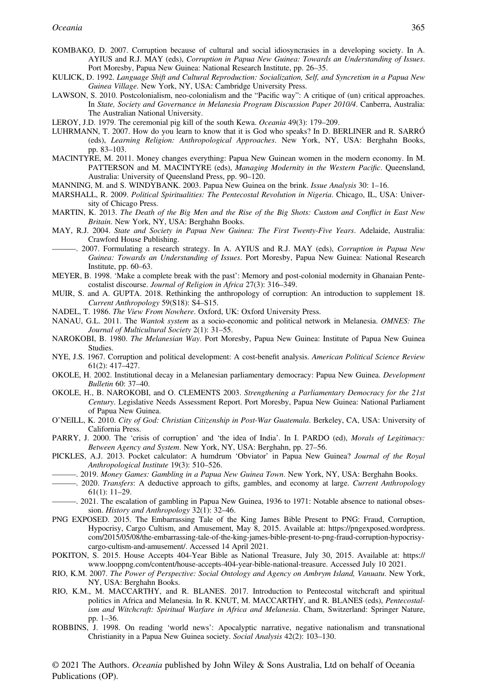- KOMBAKO, D. 2007. Corruption because of cultural and social idiosyncrasies in a developing society. In A. AYIUS and R.J. MAY (eds), Corruption in Papua New Guinea: Towards an Understanding of Issues. Port Moresby, Papua New Guinea: National Research Institute, pp. 26–35.
- KULICK, D. 1992. Language Shift and Cultural Reproduction: Socialization, Self, and Syncretism in a Papua New Guinea Village. New York, NY, USA: Cambridge University Press.
- LAWSON, S. 2010. Postcolonialism, neo-colonialism and the "Pacific way": A critique of (un) critical approaches. In State, Society and Governance in Melanesia Program Discussion Paper 2010/4. Canberra, Australia: The Australian National University.
- LEROY, J.D. 1979. The ceremonial pig kill of the south Kewa. Oceania 49(3): 179–209.
- LUHRMANN, T. 2007. How do you learn to know that it is God who speaks? In D. BERLINER and R. SARRÓ (eds), Learning Religion: Anthropological Approaches. New York, NY, USA: Berghahn Books, pp. 83–103.
- MACINTYRE, M. 2011. Money changes everything: Papua New Guinean women in the modern economy. In M. PATTERSON and M. MACINTYRE (eds), Managing Modernity in the Western Pacific. Oueensland, Australia: University of Queensland Press, pp. 90–120.
- MANNING, M. and S. WINDYBANK. 2003. Papua New Guinea on the brink. Issue Analysis 30: 1–16.
- MARSHALL, R. 2009. Political Spiritualities: The Pentecostal Revolution in Nigeria. Chicago, IL, USA: University of Chicago Press.
- MARTIN, K. 2013. The Death of the Big Men and the Rise of the Big Shots: Custom and Conflict in East New Britain. New York, NY, USA: Berghahn Books.
- MAY, R.J. 2004. State and Society in Papua New Guinea: The First Twenty-Five Years. Adelaide, Australia: Crawford House Publishing.
- ———. 2007. Formulating a research strategy. In A. AYIUS and R.J. MAY (eds), Corruption in Papua New Guinea: Towards an Understanding of Issues. Port Moresby, Papua New Guinea: National Research Institute, pp. 60–63.
- MEYER, B. 1998. 'Make a complete break with the past': Memory and post-colonial modernity in Ghanaian Pentecostalist discourse. Journal of Religion in Africa 27(3): 316–349.
- MUIR, S. and A. GUPTA. 2018. Rethinking the anthropology of corruption: An introduction to supplement 18. Current Anthropology 59(S18): S4–S15.
- NADEL, T. 1986. The View From Nowhere. Oxford, UK: Oxford University Press.
- NANAU, G.L. 2011. The Wantok system as a socio-economic and political network in Melanesia. OMNES: The Journal of Multicultural Society 2(1): 31–55.
- NAROKOBI, B. 1980. The Melanesian Way. Port Moresby, Papua New Guinea: Institute of Papua New Guinea Studies.
- NYE, J.S. 1967. Corruption and political development: A cost-benefit analysis. American Political Science Review 61(2): 417–427.
- OKOLE, H. 2002. Institutional decay in a Melanesian parliamentary democracy: Papua New Guinea. Development Bulletin 60: 37–40.
- OKOLE, H., B. NAROKOBI, and O. CLEMENTS 2003. Strengthening a Parliamentary Democracy for the 21st Century. Legislative Needs Assessment Report. Port Moresby, Papua New Guinea: National Parliament of Papua New Guinea.
- O'NEILL, K. 2010. City of God: Christian Citizenship in Post-War Guatemala. Berkeley, CA, USA: University of California Press.
- PARRY, J. 2000. The 'crisis of corruption' and 'the idea of India'. In I. PARDO (ed), Morals of Legitimacy: Between Agency and System. New York, NY, USA: Berghahn, pp. 27–56.
- PICKLES, A.J. 2013. Pocket calculator: A humdrum 'Obviator' in Papua New Guinea? Journal of the Royal Anthropological Institute 19(3): 510–526.
- -. 2019. Money Games: Gambling in a Papua New Guinea Town. New York, NY, USA: Berghahn Books.
- -. 2020. Transfers: A deductive approach to gifts, gambles, and economy at large. Current Anthropology 61(1): 11–29.
- ———. 2021. The escalation of gambling in Papua New Guinea, 1936 to 1971: Notable absence to national obsession. History and Anthropology 32(1): 32–46.
- PNG EXPOSED. 2015. The Embarrassing Tale of the King James Bible Present to PNG: Fraud, Corruption, Hypocrisy, Cargo Cultism, and Amusement, May 8, 2015. Available at: [https://pngexposed.wordpress.](https://pngexposed.wordpress.com/2015/05/08/the-embarrassing-tale-of-the-king-james-bible-present-to-png-fraud-corruption-hypocrisy-cargo-cultism-and-amusement/) [com/2015/05/08/the-embarrassing-tale-of-the-king-james-bible-present-to-png-fraud-corruption-hypocrisy](https://pngexposed.wordpress.com/2015/05/08/the-embarrassing-tale-of-the-king-james-bible-present-to-png-fraud-corruption-hypocrisy-cargo-cultism-and-amusement/)[cargo-cultism-and-amusement/](https://pngexposed.wordpress.com/2015/05/08/the-embarrassing-tale-of-the-king-james-bible-present-to-png-fraud-corruption-hypocrisy-cargo-cultism-and-amusement/). Accessed 14 April 2021.
- POKITON, S. 2015. House Accepts 404-Year Bible as National Treasure, July 30, 2015. Available at: [https://](https://www.looppng.com/content/house-accepts-404-year-bible-national-treasure) [www.looppng.com/content/house-accepts-404-year-bible-national-treasure](https://www.looppng.com/content/house-accepts-404-year-bible-national-treasure). Accessed July 10 2021.
- RIO, K.M. 2007. The Power of Perspective: Social Ontology and Agency on Ambrym Island, Vanuatu. New York, NY, USA: Berghahn Books.
- RIO, K.M., M. MACCARTHY, and R. BLANES. 2017. Introduction to Pentecostal witchcraft and spiritual politics in Africa and Melanesia. In R. KNUT, M. MACCARTHY, and R. BLANES (eds), Pentecostalism and Witchcraft: Spiritual Warfare in Africa and Melanesia. Cham, Switzerland: Springer Nature, pp. 1–36.
- ROBBINS, J. 1998. On reading 'world news': Apocalyptic narrative, negative nationalism and transnational Christianity in a Papua New Guinea society. Social Analysis 42(2): 103–130.

© 2021 The Authors. Oceania published by John Wiley & Sons Australia, Ltd on behalf of Oceania Publications (OP).